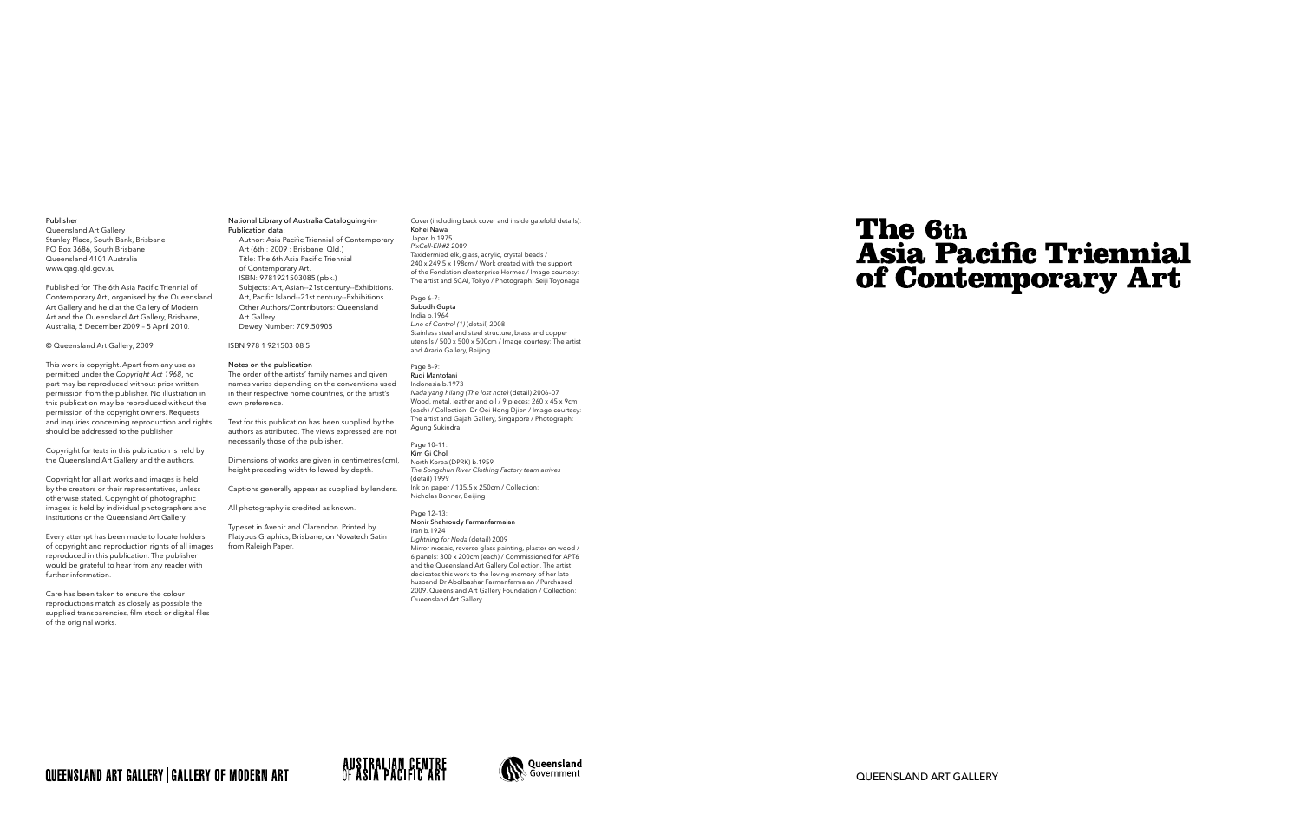QUEENSLAND ART GALLERY

#### Publisher

Queensland Art Gallery Stanley Place, South Bank, Brisbane PO Box 3686, South Brisbane Queensland 4101 Australia www.qag.qld.gov.au

Published for 'The 6th Asia Pacific Triennial of Contemporary Art', organised by the Queensland Art Gallery and held at the Gallery of Modern Art and the Queensland Art Gallery, Brisbane, Australia, 5 December 2009 – 5 April 2010.

## © Queensland Art Gallery, 2009

This work is copyright. Apart from any use as permitted under the *Copyright Act 1968*, no part may be reproduced without prior written permission from the publisher. No illustration in this publication may be reproduced without the permission of the copyright owners. Requests and inquiries concerning reproduction and rights should be addressed to the publisher.

Copyright for texts in this publication is held by the Queensland Art Gallery and the authors.

Copyright for all art works and images is held by the creators or their representatives, unless otherwise stated. Copyright of photographic images is held by individual photographers and institutions or the Queensland Art Gallery.

Typeset in Avenir and Clarendon. Printed by Platypus Graphics, Brisbane, on Novatech Satin from Raleigh Paper.

Every attempt has been made to locate holders of copyright and reproduction rights of all images reproduced in this publication. The publisher would be grateful to hear from any reader with further information.

Care has been taken to ensure the colour reproductions match as closely as possible the supplied transparencies, film stock or digital files of the original works.

## National Library of Australia Cataloguing-in-Publication data:

Author: Asia Pacific Triennial of Contemporary Art (6th : 2009 : Brisbane, Qld.) Title: The 6th Asia Pacific Triennial of Contemporary Art. ISBN: 9781921503085 (pbk.) Subjects: Art, Asian--21st century--Exhibitions. Art, Pacific Island--21st century--Exhibitions. Other Authors/Contributors: Queensland Art Gallery. Dewey Number: 709.50905

# ISBN 978 1 921503 08 5

# Notes on the publication

The order of the artists' family names and given names varies depending on the conventions used in their respective home countries, or the artist's own preference.

Text for this publication has been supplied by the authors as attributed. The views expressed are not necessarily those of the publisher.

Dimensions of works are given in centimetres (cm), height preceding width followed by depth.

Captions generally appear as supplied by lenders.

## All photography is credited as known.

#### Cover (including back cover and inside gatefold details): Kohei Nawa Japan b.1975 *PixCell-Elk#2* 2009 Taxidermied elk, glass, acrylic, crystal beads / 240 x 249.5 x 198cm / Work created with the support of the Fondation d'enterprise Hermės / Image courtesy:

The artist and SCAI, Tokyo / Photograph: Seiji Toyonaga

Page 6–7: Subodh Gupta India b.1964 *Line of Control (1)* (detail) 2008 Stainless steel and steel structure, brass and copper

utensils / 500 x 500 x 500cm / Image courtesy: The artist

and Arario Gallery, Beijing

Page 8–9:

Rudi Mantofani Indonesia b.1973 *Nada yang hilang (The lost note)* (detail) 2006–07 Wood, metal, leather and oil / 9 pieces: 260 x 45 x 9cm (each) / Collection: Dr Oei Hong Djien / Image courtesy: The artist and Gajah Gallery, Singapore / Photograph: Agung Sukindra

# Page 10–11:

Kim Gi Chol North Korea (DPRK) b.1959 *The Songchun River Clothing Factory team arrives* (detail) 1999 Ink on paper / 135.5 x 250cm / Collection: Nicholas Bonner, Beijing

#### Page 12–13: Monir Shahroudy Farmanfarmaian Iran b.1924

*Lightning for Neda* (detail) 2009 Mirror mosaic, reverse glass painting, plaster on wood / 6 panels: 300 x 200cm (each) / Commissioned for APT6 and the Queensland Art Gallery Collection. The artist dedicates this work to the loving memory of her late husband Dr Abolbashar Farmanfarmaian / Purchased 2009. Queensland Art Gallery Foundation / Collection: Queensland Art Gallery

# QUEENSLAND ART GALLERY | GALLERY OF MODERN ART





# The 6th **Asia Pacific Triennial** of Contemporary Art